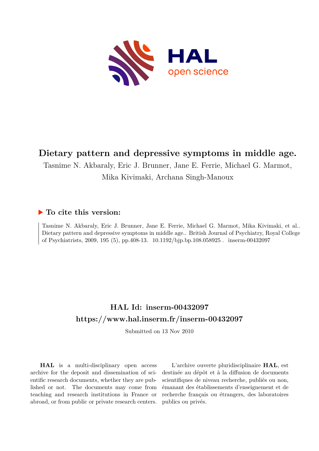

# **Dietary pattern and depressive symptoms in middle age.**

Tasnime N. Akbaraly, Eric J. Brunner, Jane E. Ferrie, Michael G. Marmot,

Mika Kivimaki, Archana Singh-Manoux

## **To cite this version:**

Tasnime N. Akbaraly, Eric J. Brunner, Jane E. Ferrie, Michael G. Marmot, Mika Kivimaki, et al.. Dietary pattern and depressive symptoms in middle age.. British Journal of Psychiatry, Royal College of Psychiatrists, 2009, 195 (5), pp.408-13. 10.1192/bjp.bp.108.058925. inserm-00432097

# **HAL Id: inserm-00432097 <https://www.hal.inserm.fr/inserm-00432097>**

Submitted on 13 Nov 2010

**HAL** is a multi-disciplinary open access archive for the deposit and dissemination of scientific research documents, whether they are published or not. The documents may come from teaching and research institutions in France or abroad, or from public or private research centers.

L'archive ouverte pluridisciplinaire **HAL**, est destinée au dépôt et à la diffusion de documents scientifiques de niveau recherche, publiés ou non, émanant des établissements d'enseignement et de recherche français ou étrangers, des laboratoires publics ou privés.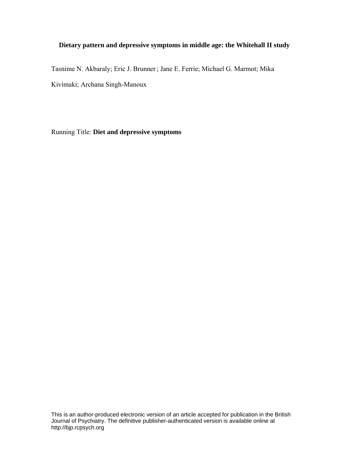## **Dietary pattern and depressive symptoms in middle age: the Whitehall II study**

Tasnime N. Akbaraly; Eric J. Brunner; Jane E. Ferrie; Michael G. Marmot; Mika Kivimaki; Archana Singh-Manoux

Running Title: **Diet and depressive symptoms**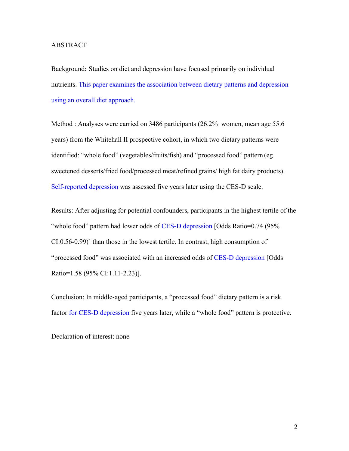#### ABSTRACT

Background**:** Studies on diet and depression have focused primarily on individual nutrients. This paper examines the association between dietary patterns and depression using an overall diet approach.

Method : Analyses were carried on 3486 participants (26.2% women, mean age 55.6 years) from the Whitehall II prospective cohort, in which two dietary patterns were identified: "whole food" (vegetables/fruits/fish) and "processed food" pattern (eg sweetened desserts/fried food/processed meat/refined grains/ high fat dairy products). Self-reported depression was assessed five years later using the CES-D scale.

Results: After adjusting for potential confounders, participants in the highest tertile of the "whole food" pattern had lower odds of CES-D depression [Odds Ratio=0.74 (95%) CI:0.56-0.99)] than those in the lowest tertile. In contrast, high consumption of "processed food" was associated with an increased odds of CES-D depression [Odds Ratio=1.58 (95% CI:1.11-2.23)].

Conclusion: In middle-aged participants, a "processed food" dietary pattern is a risk factor for CES-D depression five years later, while a "whole food" pattern is protective.

Declaration of interest: none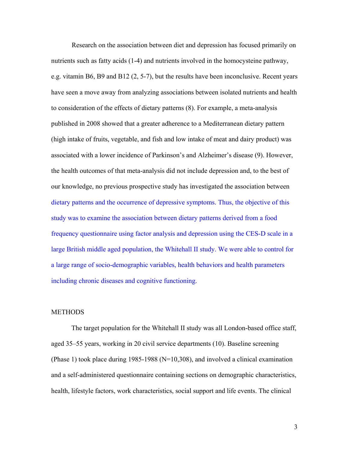Research on the association between diet and depression has focused primarily on nutrients such as fatty acids (1-4) and nutrients involved in the homocysteine pathway, e.g. vitamin B6, B9 and B12 (2, 5-7), but the results have been inconclusive. Recent years have seen a move away from analyzing associations between isolated nutrients and health to consideration of the effects of dietary patterns (8). For example, a meta-analysis published in 2008 showed that a greater adherence to a Mediterranean dietary pattern (high intake of fruits, vegetable, and fish and low intake of meat and dairy product) was associated with a lower incidence of Parkinson's and Alzheimer's disease (9). However, the health outcomes of that meta-analysis did not include depression and, to the best of our knowledge, no previous prospective study has investigated the association between dietary patterns and the occurrence of depressive symptoms. Thus, the objective of this study was to examine the association between dietary patterns derived from a food frequency questionnaire using factor analysis and depression using the CES-D scale in a large British middle aged population, the Whitehall II study. We were able to control for a large range of socio-demographic variables, health behaviors and health parameters including chronic diseases and cognitive functioning.

#### **METHODS**

The target population for the Whitehall II study was all London-based office staff, aged 35–55 years, working in 20 civil service departments (10). Baseline screening (Phase 1) took place during 1985-1988 (N=10,308), and involved a clinical examination and a self-administered questionnaire containing sections on demographic characteristics, health, lifestyle factors, work characteristics, social support and life events. The clinical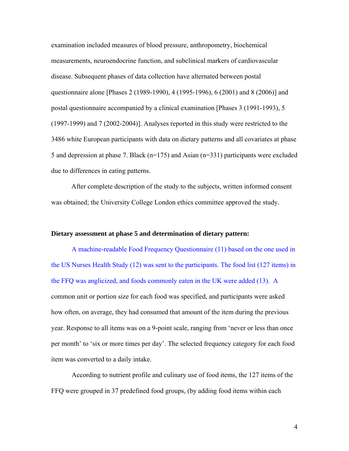examination included measures of blood pressure, anthropometry, biochemical measurements, neuroendocrine function, and subclinical markers of cardiovascular disease. Subsequent phases of data collection have alternated between postal questionnaire alone [Phases 2 (1989-1990), 4 (1995-1996), 6 (2001) and 8 (2006)] and postal questionnaire accompanied by a clinical examination [Phases 3 (1991-1993), 5 (1997-1999) and 7 (2002-2004)]. Analyses reported in this study were restricted to the 3486 white European participants with data on dietary patterns and all covariates at phase 5 and depression at phase 7. Black (n=175) and Asian (n=331) participants were excluded due to differences in eating patterns.

After complete description of the study to the subjects, written informed consent was obtained; the University College London ethics committee approved the study.

#### **Dietary assessment at phase 5 and determination of dietary pattern:**

A machine-readable Food Frequency Questionnaire (11) based on the one used in the US Nurses Health Study (12) was sent to the participants. The food list (127 items) in the FFQ was anglicized, and foods commonly eaten in the UK were added (13). A common unit or portion size for each food was specified, and participants were asked how often, on average, they had consumed that amount of the item during the previous year. Response to all items was on a 9-point scale, ranging from 'never or less than once per month' to 'six or more times per day'. The selected frequency category for each food item was converted to a daily intake.

According to nutrient profile and culinary use of food items, the 127 items of the FFQ were grouped in 37 predefined food groups, (by adding food items within each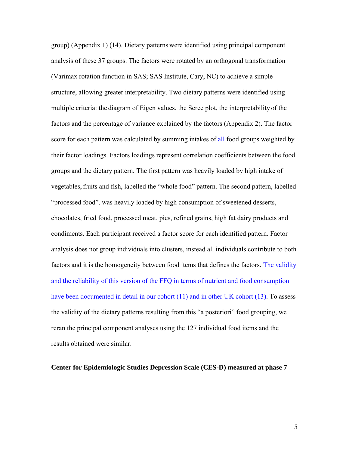group) (Appendix 1) (14). Dietary patterns were identified using principal component analysis of these 37 groups. The factors were rotated by an orthogonal transformation (Varimax rotation function in SAS; SAS Institute, Cary, NC) to achieve a simple structure, allowing greater interpretability. Two dietary patterns were identified using multiple criteria: the diagram of Eigen values, the Scree plot, the interpretability of the factors and the percentage of variance explained by the factors (Appendix 2). The factor score for each pattern was calculated by summing intakes of all food groups weighted by their factor loadings. Factors loadings represent correlation coefficients between the food groups and the dietary pattern. The first pattern was heavily loaded by high intake of vegetables, fruits and fish, labelled the "whole food" pattern. The second pattern, labelled "processed food", was heavily loaded by high consumption of sweetened desserts, chocolates, fried food, processed meat, pies, refined grains, high fat dairy products and condiments. Each participant received a factor score for each identified pattern. Factor analysis does not group individuals into clusters, instead all individuals contribute to both factors and it is the homogeneity between food items that defines the factors. The validity and the reliability of this version of the FFQ in terms of nutrient and food consumption have been documented in detail in our cohort (11) and in other UK cohort (13). To assess the validity of the dietary patterns resulting from this "a posteriori" food grouping, we reran the principal component analyses using the 127 individual food items and the results obtained were similar.

#### **Center for Epidemiologic Studies Depression Scale (CES-D) measured at phase 7**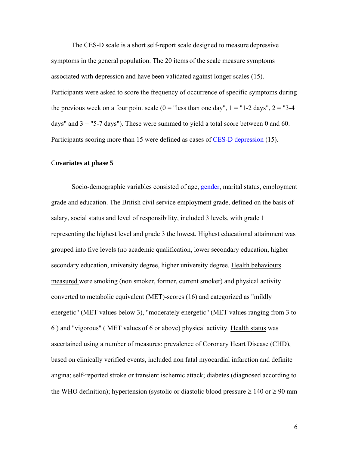The CES-D scale is a short self-report scale designed to measure depressive symptoms in the general population. The 20 items of the scale measure symptoms associated with depression and have been validated against longer scales (15). Participants were asked to score the frequency of occurrence of specific symptoms during the previous week on a four point scale  $(0 =$  "less than one day",  $1 =$  "1-2 days",  $2 =$  "3-4 days" and  $3 =$  "5-7 days"). These were summed to yield a total score between 0 and 60. Participants scoring more than 15 were defined as cases of CES-D depression (15).

#### C**ovariates at phase 5**

Socio-demographic variables consisted of age, gender, marital status, employment grade and education. The British civil service employment grade, defined on the basis of salary, social status and level of responsibility, included 3 levels, with grade 1 representing the highest level and grade 3 the lowest. Highest educational attainment was grouped into five levels (no academic qualification, lower secondary education, higher secondary education, university degree, higher university degree. Health behaviours measured were smoking (non smoker, former, current smoker) and physical activity converted to metabolic equivalent (MET)-scores (16) and categorized as "mildly energetic" (MET values below 3), "moderately energetic" (MET values ranging from 3 to 6 ) and "vigorous" ( MET values of 6 or above) physical activity. Health status was ascertained using a number of measures: prevalence of Coronary Heart Disease (CHD), based on clinically verified events, included non fatal myocardial infarction and definite angina; self-reported stroke or transient ischemic attack; diabetes (diagnosed according to the WHO definition); hypertension (systolic or diastolic blood pressure  $\geq 140$  or  $\geq 90$  mm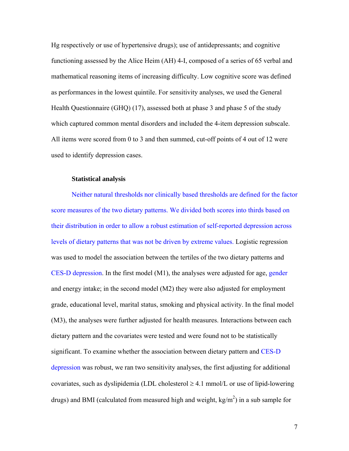Hg respectively or use of hypertensive drugs); use of antidepressants; and cognitive functioning assessed by the Alice Heim (AH) 4-I, composed of a series of 65 verbal and mathematical reasoning items of increasing difficulty. Low cognitive score was defined as performances in the lowest quintile. For sensitivity analyses, we used the General Health Questionnaire (GHQ) (17), assessed both at phase 3 and phase 5 of the study which captured common mental disorders and included the 4-item depression subscale. All items were scored from 0 to 3 and then summed, cut-off points of 4 out of 12 were used to identify depression cases.

#### **Statistical analysis**

 Neither natural thresholds nor clinically based thresholds are defined for the factor score measures of the two dietary patterns. We divided both scores into thirds based on their distribution in order to allow a robust estimation of self-reported depression across levels of dietary patterns that was not be driven by extreme values. Logistic regression was used to model the association between the tertiles of the two dietary patterns and CES-D depression. In the first model (M1), the analyses were adjusted for age, gender and energy intake; in the second model (M2) they were also adjusted for employment grade, educational level, marital status, smoking and physical activity. In the final model (M3), the analyses were further adjusted for health measures. Interactions between each dietary pattern and the covariates were tested and were found not to be statistically significant. To examine whether the association between dietary pattern and CES-D depression was robust, we ran two sensitivity analyses, the first adjusting for additional covariates, such as dyslipidemia (LDL cholesterol  $\geq 4.1$  mmol/L or use of lipid-lowering drugs) and BMI (calculated from measured high and weight,  $\text{kg/m}^2$ ) in a sub sample for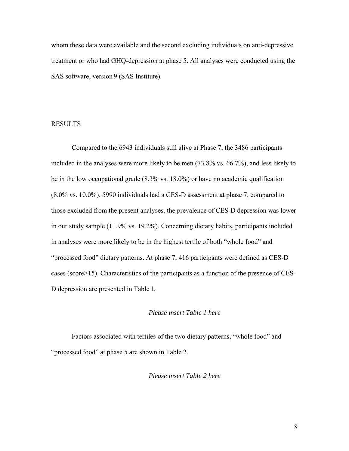whom these data were available and the second excluding individuals on anti-depressive treatment or who had GHQ-depression at phase 5. All analyses were conducted using the SAS software, version 9 (SAS Institute).

#### RESULTS

Compared to the 6943 individuals still alive at Phase 7, the 3486 participants included in the analyses were more likely to be men (73.8% vs. 66.7%), and less likely to be in the low occupational grade (8.3% vs. 18.0%) or have no academic qualification (8.0% vs. 10.0%). 5990 individuals had a CES-D assessment at phase 7, compared to those excluded from the present analyses, the prevalence of CES-D depression was lower in our study sample (11.9% vs. 19.2%). Concerning dietary habits, participants included in analyses were more likely to be in the highest tertile of both "whole food" and "processed food" dietary patterns. At phase 7, 416 participants were defined as CES-D cases (score>15). Characteristics of the participants as a function of the presence of CES-D depression are presented in Table 1.

#### *Please insert Table 1 here*

Factors associated with tertiles of the two dietary patterns, "whole food" and "processed food" at phase 5 are shown in Table 2.

*Please insert Table 2 here*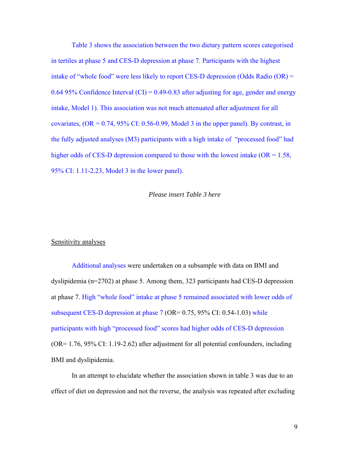Table 3 shows the association between the two dietary pattern scores categorised in tertiles at phase 5 and CES-D depression at phase 7. Participants with the highest intake of "whole food" were less likely to report CES-D depression (Odds Radio (OR) = 0.64 95% Confidence Interval (CI) =  $0.49$ -0.83 after adjusting for age, gender and energy intake, Model 1). This association was not much attenuated after adjustment for all covariates,  $OR = 0.74$ , 95% CI: 0.56-0.99, Model 3 in the upper panel). By contrast, in the fully adjusted analyses (M3) participants with a high intake of "processed food" had higher odds of CES-D depression compared to those with the lowest intake  $(OR = 1.58,$ 95% CI: 1.11-2.23, Model 3 in the lower panel).

#### *Please insert Table 3 here*

#### Sensitivity analyses

Additional analyses were undertaken on a subsample with data on BMI and dyslipidemia (n=2702) at phase 5. Among them, 323 participants had CES-D depression at phase 7. High "whole food" intake at phase 5 remained associated with lower odds of subsequent CES-D depression at phase 7 (OR= 0.75, 95% CI: 0.54-1.03) while participants with high "processed food" scores had higher odds of CES-D depression (OR= 1.76, 95% CI: 1.19-2.62) after adjustment for all potential confounders, including BMI and dyslipidemia.

In an attempt to elucidate whether the association shown in table 3 was due to an effect of diet on depression and not the reverse, the analysis was repeated after excluding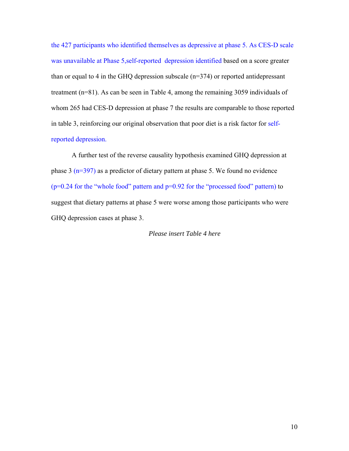the 427 participants who identified themselves as depressive at phase 5. As CES-D scale was unavailable at Phase 5,self-reported depression identified based on a score greater than or equal to 4 in the GHQ depression subscale (n=374) or reported antidepressant treatment (n=81). As can be seen in Table 4, among the remaining 3059 individuals of whom 265 had CES-D depression at phase 7 the results are comparable to those reported in table 3, reinforcing our original observation that poor diet is a risk factor for selfreported depression.

A further test of the reverse causality hypothesis examined GHQ depression at phase 3 (n=397) as a predictor of dietary pattern at phase 5. We found no evidence  $(p=0.24$  for the "whole food" pattern and  $p=0.92$  for the "processed food" pattern) to suggest that dietary patterns at phase 5 were worse among those participants who were GHQ depression cases at phase 3.

#### *Please insert Table 4 here*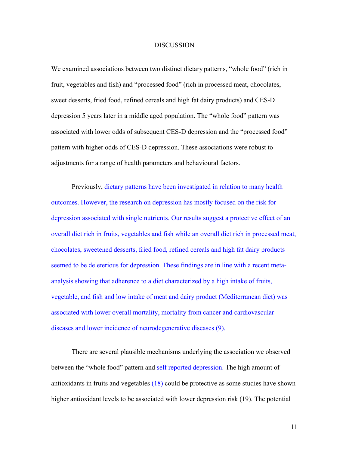#### **DISCUSSION**

We examined associations between two distinct dietary patterns, "whole food" (rich in fruit, vegetables and fish) and "processed food" (rich in processed meat, chocolates, sweet desserts, fried food, refined cereals and high fat dairy products) and CES-D depression 5 years later in a middle aged population. The "whole food" pattern was associated with lower odds of subsequent CES-D depression and the "processed food" pattern with higher odds of CES-D depression. These associations were robust to adjustments for a range of health parameters and behavioural factors.

 Previously, dietary patterns have been investigated in relation to many health outcomes. However, the research on depression has mostly focused on the risk for depression associated with single nutrients. Our results suggest a protective effect of an overall diet rich in fruits, vegetables and fish while an overall diet rich in processed meat, chocolates, sweetened desserts, fried food, refined cereals and high fat dairy products seemed to be deleterious for depression. These findings are in line with a recent metaanalysis showing that adherence to a diet characterized by a high intake of fruits, vegetable, and fish and low intake of meat and dairy product (Mediterranean diet) was associated with lower overall mortality, mortality from cancer and cardiovascular diseases and lower incidence of neurodegenerative diseases (9).

There are several plausible mechanisms underlying the association we observed between the "whole food" pattern and self reported depression. The high amount of antioxidants in fruits and vegetables (18) could be protective as some studies have shown higher antioxidant levels to be associated with lower depression risk (19). The potential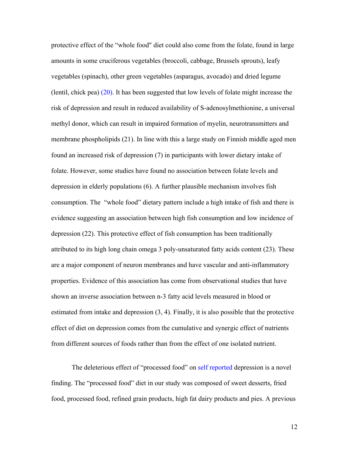protective effect of the "whole food" diet could also come from the folate, found in large amounts in some cruciferous vegetables (broccoli, cabbage, Brussels sprouts), leafy vegetables (spinach), other green vegetables (asparagus, avocado) and dried legume (lentil, chick pea) (20). It has been suggested that low levels of folate might increase the risk of depression and result in reduced availability of S-adenosylmethionine, a universal methyl donor, which can result in impaired formation of myelin, neurotransmitters and membrane phospholipids (21). In line with this a large study on Finnish middle aged men found an increased risk of depression (7) in participants with lower dietary intake of folate. However, some studies have found no association between folate levels and depression in elderly populations (6). A further plausible mechanism involves fish consumption. The "whole food" dietary pattern include a high intake of fish and there is evidence suggesting an association between high fish consumption and low incidence of depression (22). This protective effect of fish consumption has been traditionally attributed to its high long chain omega 3 poly-unsaturated fatty acids content (23). These are a major component of neuron membranes and have vascular and anti-inflammatory properties. Evidence of this association has come from observational studies that have shown an inverse association between n-3 fatty acid levels measured in blood or estimated from intake and depression (3, 4). Finally, it is also possible that the protective effect of diet on depression comes from the cumulative and synergic effect of nutrients from different sources of foods rather than from the effect of one isolated nutrient.

The deleterious effect of "processed food" on self reported depression is a novel finding. The "processed food" diet in our study was composed of sweet desserts, fried food, processed food, refined grain products, high fat dairy products and pies. A previous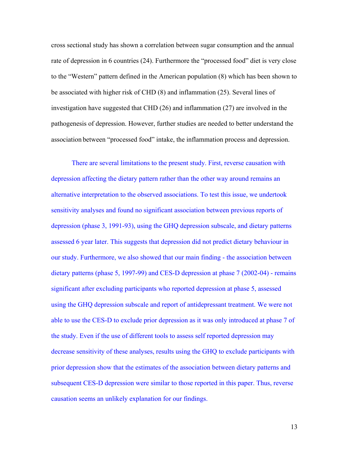cross sectional study has shown a correlation between sugar consumption and the annual rate of depression in 6 countries (24). Furthermore the "processed food" diet is very close to the "Western" pattern defined in the American population (8) which has been shown to be associated with higher risk of CHD (8) and inflammation (25). Several lines of investigation have suggested that CHD (26) and inflammation (27) are involved in the pathogenesis of depression. However, further studies are needed to better understand the association between "processed food" intake, the inflammation process and depression.

There are several limitations to the present study. First, reverse causation with depression affecting the dietary pattern rather than the other way around remains an alternative interpretation to the observed associations. To test this issue, we undertook sensitivity analyses and found no significant association between previous reports of depression (phase 3, 1991-93), using the GHQ depression subscale, and dietary patterns assessed 6 year later. This suggests that depression did not predict dietary behaviour in our study. Furthermore, we also showed that our main finding - the association between dietary patterns (phase 5, 1997-99) and CES-D depression at phase 7 (2002-04) - remains significant after excluding participants who reported depression at phase 5, assessed using the GHQ depression subscale and report of antidepressant treatment. We were not able to use the CES-D to exclude prior depression as it was only introduced at phase 7 of the study. Even if the use of different tools to assess self reported depression may decrease sensitivity of these analyses, results using the GHQ to exclude participants with prior depression show that the estimates of the association between dietary patterns and subsequent CES-D depression were similar to those reported in this paper. Thus, reverse causation seems an unlikely explanation for our findings.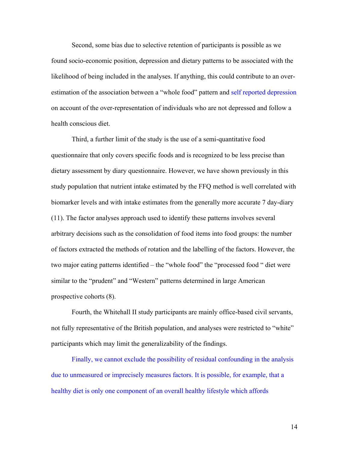Second, some bias due to selective retention of participants is possible as we found socio-economic position, depression and dietary patterns to be associated with the likelihood of being included in the analyses. If anything, this could contribute to an overestimation of the association between a "whole food" pattern and self reported depression on account of the over-representation of individuals who are not depressed and follow a health conscious diet.

Third, a further limit of the study is the use of a semi-quantitative food questionnaire that only covers specific foods and is recognized to be less precise than dietary assessment by diary questionnaire. However, we have shown previously in this study population that nutrient intake estimated by the FFQ method is well correlated with biomarker levels and with intake estimates from the generally more accurate 7 day-diary (11). The factor analyses approach used to identify these patterns involves several arbitrary decisions such as the consolidation of food items into food groups: the number of factors extracted the methods of rotation and the labelling of the factors. However, the two major eating patterns identified – the "whole food" the "processed food " diet were similar to the "prudent" and "Western" patterns determined in large American prospective cohorts (8).

Fourth, the Whitehall II study participants are mainly office-based civil servants, not fully representative of the British population, and analyses were restricted to "white" participants which may limit the generalizability of the findings.

Finally, we cannot exclude the possibility of residual confounding in the analysis due to unmeasured or imprecisely measures factors. It is possible, for example, that a healthy diet is only one component of an overall healthy lifestyle which affords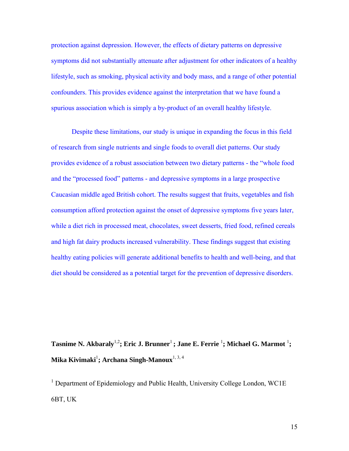protection against depression. However, the effects of dietary patterns on depressive symptoms did not substantially attenuate after adjustment for other indicators of a healthy lifestyle, such as smoking, physical activity and body mass, and a range of other potential confounders. This provides evidence against the interpretation that we have found a spurious association which is simply a by-product of an overall healthy lifestyle.

Despite these limitations, our study is unique in expanding the focus in this field of research from single nutrients and single foods to overall diet patterns. Our study provides evidence of a robust association between two dietary patterns - the "whole food and the "processed food" patterns - and depressive symptoms in a large prospective Caucasian middle aged British cohort. The results suggest that fruits, vegetables and fish consumption afford protection against the onset of depressive symptoms five years later, while a diet rich in processed meat, chocolates, sweet desserts, fried food, refined cereals and high fat dairy products increased vulnerability. These findings suggest that existing healthy eating policies will generate additional benefits to health and well-being, and that diet should be considered as a potential target for the prevention of depressive disorders.

 $\bf{T}$ asnime N. Akbaraly $^{1,2}$ ; Eric J. Brunner $^1$ ; Jane E. Ferrie  $^1$ ; Michael G. Marmot  $^1$ ; **Mika Kivimaki**<sup>1</sup> **; Archana Singh-Manoux**1, 3, 4

<sup>1</sup> Department of Epidemiology and Public Health, University College London, WC1E 6BT, UK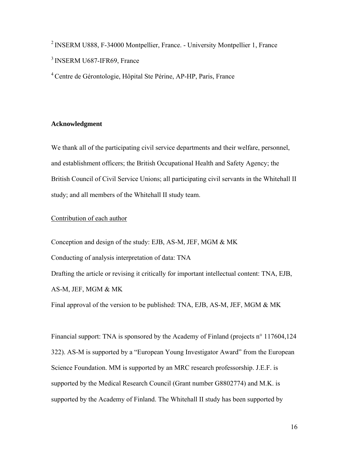2 INSERM U888, F-34000 Montpellier, France. - University Montpellier 1, France <sup>3</sup> INSERM U687-IFR69, France

4 Centre de Gérontologie, Hôpital Ste Périne, AP-HP, Paris, France

### **Acknowledgment**

We thank all of the participating civil service departments and their welfare, personnel, and establishment officers; the British Occupational Health and Safety Agency; the British Council of Civil Service Unions; all participating civil servants in the Whitehall II study; and all members of the Whitehall II study team.

## Contribution of each author

Conception and design of the study: EJB, AS-M, JEF, MGM & MK Conducting of analysis interpretation of data: TNA Drafting the article or revising it critically for important intellectual content: TNA, EJB, AS-M, JEF, MGM & MK

Final approval of the version to be published: TNA, EJB, AS-M, JEF, MGM & MK

Financial support: TNA is sponsored by the Academy of Finland (projects n° 117604,124 322). AS-M is supported by a "European Young Investigator Award" from the European Science Foundation. MM is supported by an MRC research professorship. J.E.F. is supported by the Medical Research Council (Grant number G8802774) and M.K. is supported by the Academy of Finland. The Whitehall II study has been supported by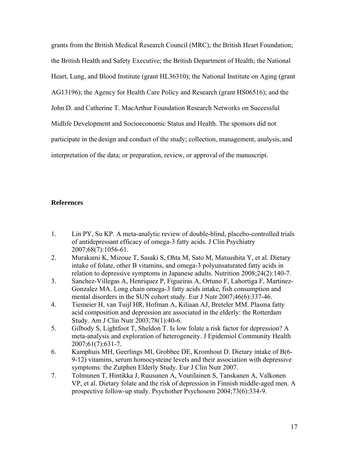grants from the British Medical Research Council (MRC); the British Heart Foundation; the British Health and Safety Executive; the British Department of Health; the National Heart, Lung, and Blood Institute (grant HL36310); the National Institute on Aging (grant AG13196); the Agency for Health Care Policy and Research (grant HS06516); and the John D. and Catherine T. MacArthur Foundation Research Networks on Successful Midlife Development and Socioeconomic Status and Health. The sponsors did not participate in the design and conduct of the study; collection, management, analysis, and interpretation of the data; or preparation, review, or approval of the manuscript.

### **References**

- 1. Lin PY, Su KP. A meta-analytic review of double-blind, placebo-controlled trials of antidepressant efficacy of omega-3 fatty acids. J Clin Psychiatry 2007;68(7):1056-61.
- 2. Murakami K, Mizoue T, Sasaki S, Ohta M, Sato M, Matsushita Y, et al. Dietary intake of folate, other B vitamins, and omega-3 polyunsaturated fatty acids in relation to depressive symptoms in Japanese adults. Nutrition 2008;24(2):140-7.
- 3. Sanchez-Villegas A, Henriquez P, Figueiras A, Ortuno F, Lahortiga F, Martinez-Gonzalez MA. Long chain omega-3 fatty acids intake, fish consumption and mental disorders in the SUN cohort study. Eur J Nutr 2007;46(6):337-46.
- 4. Tiemeier H, van Tuijl HR, Hofman A, Kiliaan AJ, Breteler MM. Plasma fatty acid composition and depression are associated in the elderly: the Rotterdam Study. Am J Clin Nutr 2003;78(1):40-6.
- 5. Gilbody S, Lightfoot T, Sheldon T. Is low folate a risk factor for depression? A meta-analysis and exploration of heterogeneity. J Epidemiol Community Health 2007;61(7):631-7.
- 6. Kamphuis MH, Geerlings MI, Grobbee DE, Kromhout D. Dietary intake of B(6- 9-12) vitamins, serum homocysteine levels and their association with depressive symptoms: the Zutphen Elderly Study. Eur J Clin Nutr 2007.
- 7. Tolmunen T, Hintikka J, Ruusunen A, Voutilainen S, Tanskanen A, Valkonen VP, et al. Dietary folate and the risk of depression in Finnish middle-aged men. A prospective follow-up study. Psychother Psychosom 2004;73(6):334-9.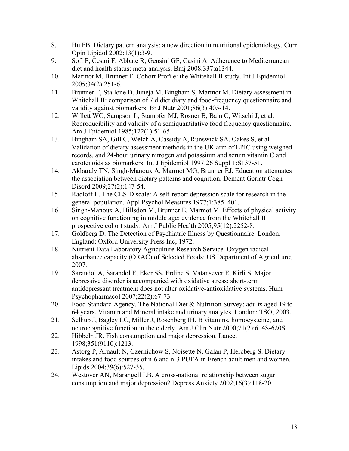- 8. Hu FB. Dietary pattern analysis: a new direction in nutritional epidemiology. Curr Opin Lipidol 2002;13(1):3-9.
- 9. Sofi F, Cesari F, Abbate R, Gensini GF, Casini A. Adherence to Mediterranean diet and health status: meta-analysis. Bmj 2008;337:a1344.
- 10. Marmot M, Brunner E. Cohort Profile: the Whitehall II study. Int J Epidemiol 2005;34(2):251-6.
- 11. Brunner E, Stallone D, Juneja M, Bingham S, Marmot M. Dietary assessment in Whitehall II: comparison of 7 d diet diary and food-frequency questionnaire and validity against biomarkers. Br J Nutr 2001;86(3):405-14.
- 12. Willett WC, Sampson L, Stampfer MJ, Rosner B, Bain C, Witschi J, et al. Reproducibility and validity of a semiquantitative food frequency questionnaire. Am J Epidemiol 1985;122(1):51-65.
- 13. Bingham SA, Gill C, Welch A, Cassidy A, Runswick SA, Oakes S, et al. Validation of dietary assessment methods in the UK arm of EPIC using weighed records, and 24-hour urinary nitrogen and potassium and serum vitamin C and carotenoids as biomarkers. Int J Epidemiol 1997;26 Suppl 1:S137-51.
- 14. Akbaraly TN, Singh-Manoux A, Marmot MG, Brunner EJ. Education attenuates the association between dietary patterns and cognition. Dement Geriatr Cogn Disord 2009;27(2):147-54.
- 15. Radloff L. The CES-D scale: A self-report depression scale for research in the general population. Appl Psychol Measures 1977;1:385–401.
- 16. Singh-Manoux A, Hillsdon M, Brunner E, Marmot M. Effects of physical activity on cognitive functioning in middle age: evidence from the Whitehall II prospective cohort study. Am J Public Health 2005;95(12):2252-8.
- 17. Goldberg D. The Detection of Psychiatric Illness by Questionnaire. London, England: Oxford University Press Inc; 1972.
- 18. Nutrient Data Laboratory Agriculture Research Service. Oxygen radical absorbance capacity (ORAC) of Selected Foods: US Department of Agriculture; 2007.
- 19. Sarandol A, Sarandol E, Eker SS, Erdinc S, Vatansever E, Kirli S. Major depressive disorder is accompanied with oxidative stress: short-term antidepressant treatment does not alter oxidative-antioxidative systems. Hum Psychopharmacol 2007;22(2):67-73.
- 20. Food Standard Agency. The National Diet & Nutrition Survey: adults aged 19 to 64 years. Vitamin and Mineral intake and urinary analytes. London: TSO; 2003.
- 21. Selhub J, Bagley LC, Miller J, Rosenberg IH. B vitamins, homocysteine, and neurocognitive function in the elderly. Am J Clin Nutr 2000;71(2):614S-620S.
- 22. Hibbeln JR. Fish consumption and major depression. Lancet 1998;351(9110):1213.
- 23. Astorg P, Arnault N, Czernichow S, Noisette N, Galan P, Hercberg S. Dietary intakes and food sources of n-6 and n-3 PUFA in French adult men and women. Lipids 2004;39(6):527-35.
- 24. Westover AN, Marangell LB. A cross-national relationship between sugar consumption and major depression? Depress Anxiety 2002;16(3):118-20.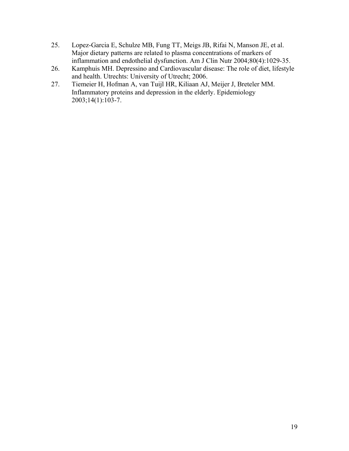- 25. Lopez-Garcia E, Schulze MB, Fung TT, Meigs JB, Rifai N, Manson JE, et al. Major dietary patterns are related to plasma concentrations of markers of inflammation and endothelial dysfunction. Am J Clin Nutr 2004;80(4):1029-35.
- 26. Kamphuis MH. Depressino and Cardiovascular disease: The role of diet, lifestyle and health. Utrechts: University of Utrecht; 2006.
- 27. Tiemeier H, Hofman A, van Tuijl HR, Kiliaan AJ, Meijer J, Breteler MM. Inflammatory proteins and depression in the elderly. Epidemiology 2003;14(1):103-7.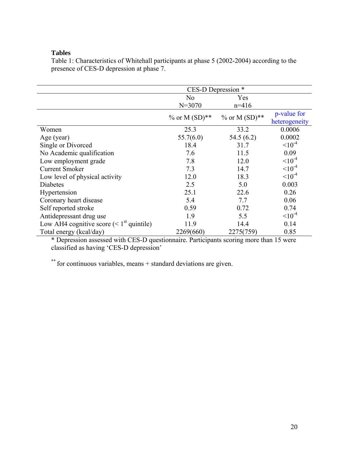## **Tables**

Table 1: Characteristics of Whitehall participants at phase 5 (2002-2004) according to the presence of CES-D depression at phase 7.

|                                                    | CES-D Depression * |                  |                              |  |  |
|----------------------------------------------------|--------------------|------------------|------------------------------|--|--|
|                                                    | N <sub>0</sub>     | Yes              |                              |  |  |
|                                                    | $N = 3070$         | $n=416$          |                              |  |  |
|                                                    | % or M $(SD)$ **   | % or M $(SD)$ ** | p-value for<br>heterogeneity |  |  |
| Women                                              | 25.3               | 33.2             | 0.0006                       |  |  |
| Age (year)                                         | 55.7(6.0)          | 54.5(6.2)        | 0.0002                       |  |  |
| Single or Divorced                                 | 18.4               | 31.7             | $10^{-4}$                    |  |  |
| No Academic qualification                          | 7.6                | 11.5             | 0.09                         |  |  |
| Low employment grade                               | 7.8                | 12.0             | $10^{-4}$                    |  |  |
| <b>Current Smoker</b>                              | 7.3                | 14.7             | $10^{-4}$                    |  |  |
| Low level of physical activity                     | 12.0               | 18.3             | $10^{-4}$                    |  |  |
| <b>Diabetes</b>                                    | 2.5                | 5.0              | 0.003                        |  |  |
| Hypertension                                       | 25.1               | 22.6             | 0.26                         |  |  |
| Coronary heart disease                             | 5.4                | 7.7              | 0.06                         |  |  |
| Self reported stroke                               | 0.59               | 0.72             | 0.74                         |  |  |
| Antidepressant drug use                            | 1.9                | 5.5              | $10^{-4}$                    |  |  |
| Low AH4 cognitive score $(1^{\text{st}} quintile)$ | 11.9               | 14.4             | 0.14                         |  |  |
| Total energy (kcal/day)                            | 2269(660)          | 2275(759)        | 0.85                         |  |  |

\* Depression assessed with CES-D questionnaire. Participants scoring more than 15 were classified as having 'CES-D depression'

\*\* for continuous variables, means + standard deviations are given.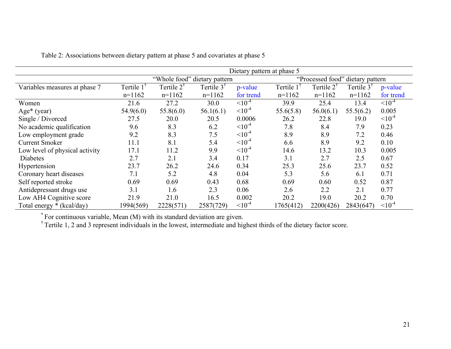|                                | Dietary pattern at phase 5   |                        |                       |                                  |                        |                       |                       |           |
|--------------------------------|------------------------------|------------------------|-----------------------|----------------------------------|------------------------|-----------------------|-----------------------|-----------|
|                                | "Whole food" dietary pattern |                        |                       | "Processed food" dietary pattern |                        |                       |                       |           |
| Variables measures at phase 7  | Tertile 1                    | Tertile 2 <sup>†</sup> | Tertile $3^{\dagger}$ | p-value                          | Tertile 1 <sup>1</sup> | Tertile $2^{\dagger}$ | Tertile $3^{\dagger}$ | p-value   |
|                                | $n=1162$                     | $n=1162$               | $n=1162$              | for trend                        | $n=1162$               | $n=1162$              | $n=1162$              | for trend |
| Women                          | 21.6                         | 27.2                   | 30.0                  | $10^{-4}$                        | 39.9                   | 25.4                  | 13.4                  | $10^{-4}$ |
| Age* (year)                    | 54.9(6.0)                    | 55.8(6.0)              | 56.1(6.1)             | $10^{-4}$                        | 55.6(5.8)              | 56.0(6.1)             | 55.5(6.2)             | 0.005     |
| Single / Divorced              | 27.5                         | 20.0                   | 20.5                  | 0.0006                           | 26.2                   | 22.8                  | 19.0                  | $10^{-4}$ |
| No academic qualification      | 9.6                          | 8.3                    | 6.2                   | $10^{-4}$                        | 7.8                    | 8.4                   | 7.9                   | 0.23      |
| Low employment grade           | 9.2                          | 8.3                    | 7.5                   | $10^{-4}$                        | 8.9                    | 8.9                   | 7.2                   | 0.46      |
| <b>Current Smoker</b>          | 11.1                         | 8.1                    | 5.4                   | $10^{-4}$                        | 6.6                    | 8.9                   | 9.2                   | 0.10      |
| Low level of physical activity | 17.1                         | 11.2                   | 9.9                   | $10^{-4}$                        | 14.6                   | 13.2                  | 10.3                  | 0.005     |
| Diabetes                       | 2.7                          | 2.1                    | 3.4                   | 0.17                             | 3.1                    | 2.7                   | 2.5                   | 0.67      |
| Hypertension                   | 23.7                         | 26.2                   | 24.6                  | 0.34                             | 25.3                   | 25.6                  | 23.7                  | 0.52      |
| Coronary heart diseases        | 7.1                          | 5.2                    | 4.8                   | 0.04                             | 5.3                    | 5.6                   | 6.1                   | 0.71      |
| Self reported stroke           | 0.69                         | 0.69                   | 0.43                  | 0.68                             | 0.69                   | 0.60                  | 0.52                  | 0.87      |
| Antidepressant drugs use       | 3.1                          | 1.6                    | 2.3                   | 0.06                             | 2.6                    | 2.2                   | 2.1                   | 0.77      |
| Low AH4 Cognitive score        | 21.9                         | 21.0                   | 16.5                  | 0.002                            | 20.2                   | 19.0                  | 20.2                  | 0.70      |
| Total energy * (kcal/day)      | 1994(569)                    | 2228(571)              | 2587(729)             | $10^{-4}$                        | 1765(412)              | 2200(426)             | 2843(647)             | $10^{-4}$ |

Table 2: Associations between dietary pattern at phase 5 and covariates at phase 5

\* For continuous variable, Mean (M) with its standard deviation are given.

<sup>†</sup> Tertile 1, 2 and 3 represent individuals in the lowest, intermediate and highest thirds of the dietary factor score.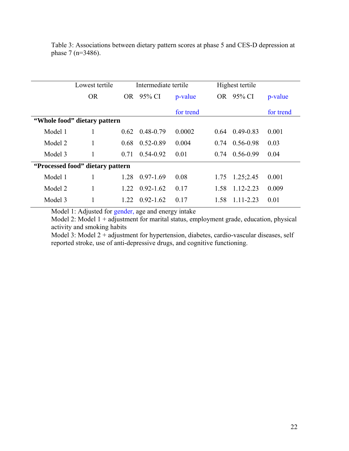|         | Lowest tertile                   | Intermediate tertile |               | Highest tertile |      |               |           |
|---------|----------------------------------|----------------------|---------------|-----------------|------|---------------|-----------|
|         | <b>OR</b>                        |                      | OR 95% CI     | p-value         | OR.  | 95% CI        | p-value   |
|         |                                  |                      |               | for trend       |      |               | for trend |
|         | "Whole food" dietary pattern     |                      |               |                 |      |               |           |
| Model 1 |                                  | 0.62                 | 0.48-0.79     | 0.0002          | 0.64 | $0.49 - 0.83$ | 0.001     |
| Model 2 |                                  | 0.68                 | 0.52-0.89     | 0.004           | 0.74 | $0.56 - 0.98$ | 0.03      |
| Model 3 |                                  | 0.71                 | $0.54 - 0.92$ | 0.01            | 0.74 | $0.56 - 0.99$ | 0.04      |
|         | "Processed food" dietary pattern |                      |               |                 |      |               |           |
| Model 1 |                                  | 1.28                 | $0.97 - 1.69$ | 0.08            | 1.75 | 1.25;2.45     | 0.001     |
| Model 2 | 1                                | 1 22                 | $0.92 - 1.62$ | 0.17            | 1.58 | $1.12 - 2.23$ | 0.009     |
| Model 3 |                                  | 1.22                 | $0.92 - 1.62$ | 0.17            | 1.58 | 1.11-2.23     | 0.01      |

Table 3: Associations between dietary pattern scores at phase 5 and CES-D depression at phase 7 (n=3486).

Model 1: Adjusted for gender, age and energy intake

Model 2: Model  $1 +$ adjustment for marital status, employment grade, education, physical activity and smoking habits

Model 3: Model 2 + adjustment for hypertension, diabetes, cardio-vascular diseases, self reported stroke, use of anti-depressive drugs, and cognitive functioning.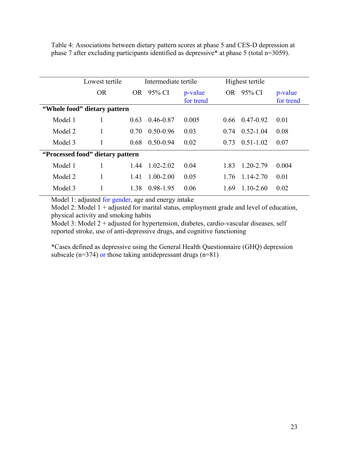Table 4: Associations between dietary pattern scores at phase 5 and CES-D depression at phase 7 after excluding participants identified as depressive\* at phase 5 (total n=3059).

|         | Lowest tertile                   | Intermediate tertile |               |                      | Highest tertile |               |                      |
|---------|----------------------------------|----------------------|---------------|----------------------|-----------------|---------------|----------------------|
|         | <b>OR</b>                        | <b>OR</b>            | 95% CI        | p-value<br>for trend | OR.             | 95% CI        | p-value<br>for trend |
|         | "Whole food" dietary pattern     |                      |               |                      |                 |               |                      |
| Model 1 |                                  | 0.63                 | $0.46 - 0.87$ | 0.005                | 0.66            | 0.47-0.92     | 0.01                 |
| Model 2 |                                  | 0.70                 | $0.50 - 0.96$ | 0.03                 | 0.74            | $0.52 - 1.04$ | 0.08                 |
| Model 3 |                                  | 0.68                 | $0.50 - 0.94$ | 0.02                 | 0.73            | $0.51 - 1.02$ | 0.07                 |
|         | "Processed food" dietary pattern |                      |               |                      |                 |               |                      |
| Model 1 |                                  | 1.44                 | $1.02 - 2.02$ | 0.04                 | 183             | $1.20 - 2.79$ | 0.004                |
| Model 2 | 1                                | 1.41                 | $1.00 - 2.00$ | 0.05                 | 1.76            | 1.14-2.70     | 0.01                 |
| Model 3 |                                  | 1.38                 | 0.98-1.95     | 0.06                 | 1.69            | $1.10 - 2.60$ | 0.02                 |

Model 1: adjusted for gender, age and energy intake

Model 2: Model  $1 +$ adjusted for marital status, employment grade and level of education, physical activity and smoking habits

Model 3: Model  $2 +$  adjusted for hypertension, diabetes, cardio-vascular diseases, self reported stroke, use of anti-depressive drugs, and cognitive functioning

\*Cases defined as depressive using the General Health Questionnaire (GHQ) depression subscale ( $n=374$ ) or those taking antidepressant drugs ( $n=81$ )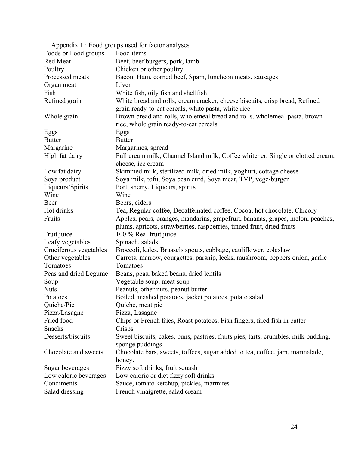| Foods or Food groups   | Food items                                                                         |
|------------------------|------------------------------------------------------------------------------------|
| Red Meat               | Beef, beef burgers, pork, lamb                                                     |
| Poultry                | Chicken or other poultry                                                           |
| Processed meats        | Bacon, Ham, corned beef, Spam, luncheon meats, sausages                            |
| Organ meat             | Liver                                                                              |
| Fish                   | White fish, oily fish and shellfish                                                |
| Refined grain          | White bread and rolls, cream cracker, cheese biscuits, crisp bread, Refined        |
|                        | grain ready-to-eat cereals, white pasta, white rice                                |
| Whole grain            | Brown bread and rolls, wholemeal bread and rolls, wholemeal pasta, brown           |
|                        | rice, whole grain ready-to-eat cereals                                             |
| Eggs                   | Eggs                                                                               |
| <b>Butter</b>          | <b>Butter</b>                                                                      |
| Margarine              | Margarines, spread                                                                 |
| High fat dairy         | Full cream milk, Channel Island milk, Coffee whitener, Single or clotted cream,    |
|                        | cheese, ice cream                                                                  |
| Low fat dairy          | Skimmed milk, sterilized milk, dried milk, yoghurt, cottage cheese                 |
| Soya product           | Soya milk, tofu, Soya bean curd, Soya meat, TVP, vege-burger                       |
| Liqueurs/Spirits       | Port, sherry, Liqueurs, spirits                                                    |
| Wine                   | Wine                                                                               |
| Beer                   | Beers, ciders                                                                      |
| Hot drinks             | Tea, Regular coffee, Decaffeinated coffee, Cocoa, hot chocolate, Chicory           |
| Fruits                 | Apples, pears, oranges, mandarins, grapefruit, bananas, grapes, melon, peaches,    |
|                        | plums, apricots, strawberries, raspberries, tinned fruit, dried fruits             |
| Fruit juice            | 100 % Real fruit juice                                                             |
| Leafy vegetables       | Spinach, salads                                                                    |
| Cruciferous vegetables | Broccoli, kales, Brussels spouts, cabbage, cauliflower, coleslaw                   |
| Other vegetables       | Carrots, marrow, courgettes, parsnip, leeks, mushroom, peppers onion, garlic       |
| Tomatoes               | Tomatoes                                                                           |
| Peas and dried Legume  | Beans, peas, baked beans, dried lentils                                            |
| Soup                   | Vegetable soup, meat soup                                                          |
| <b>Nuts</b>            | Peanuts, other nuts, peanut butter                                                 |
| Potatoes               | Boiled, mashed potatoes, jacket potatoes, potato salad                             |
| Quiche/Pie             | Quiche, meat pie                                                                   |
| Pizza/Lasagne          | Pizza, Lasagne                                                                     |
| Fried food             | Chips or French fries, Roast potatoes, Fish fingers, fried fish in batter          |
| Snacks                 | Crisps                                                                             |
| Desserts/biscuits      | Sweet biscuits, cakes, buns, pastries, fruits pies, tarts, crumbles, milk pudding, |
|                        | sponge puddings                                                                    |
| Chocolate and sweets   | Chocolate bars, sweets, toffees, sugar added to tea, coffee, jam, marmalade,       |
|                        | honey.                                                                             |
| Sugar beverages        | Fizzy soft drinks, fruit squash                                                    |
| Low calorie beverages  | Low calorie or diet fizzy soft drinks                                              |
| Condiments             | Sauce, tomato ketchup, pickles, marmites                                           |
| Salad dressing         | French vinaigrette, salad cream                                                    |
|                        |                                                                                    |

Appendix 1 : Food groups used for factor analyses